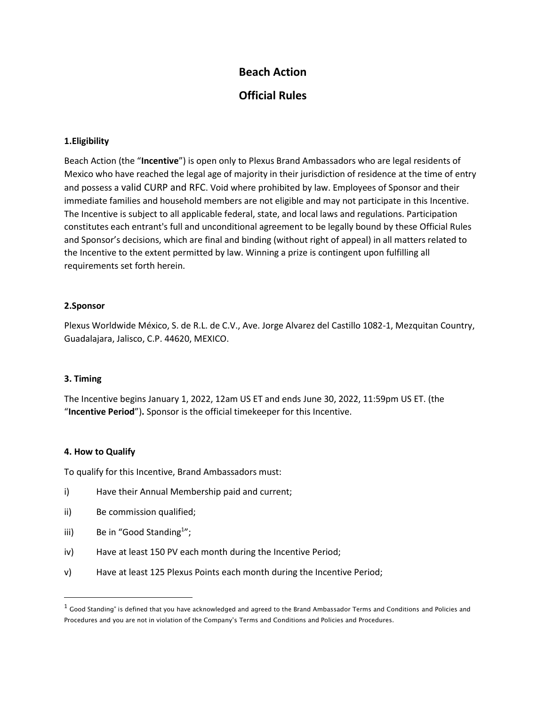# **Beach Action**

## **Official Rules**

#### **1.Eligibility**

Beach Action (the "**Incentive**") is open only to Plexus Brand Ambassadors who are legal residents of Mexico who have reached the legal age of majority in their jurisdiction of residence at the time of entry and possess a valid CURP and RFC. Void where prohibited by law. Employees of Sponsor and their immediate families and household members are not eligible and may not participate in this Incentive. The Incentive is subject to all applicable federal, state, and local laws and regulations. Participation constitutes each entrant's full and unconditional agreement to be legally bound by these Official Rules and Sponsor's decisions, which are final and binding (without right of appeal) in all matters related to the Incentive to the extent permitted by law. Winning a prize is contingent upon fulfilling all requirements set forth herein.

#### **2.Sponsor**

Plexus Worldwide México, S. de R.L. de C.V., Ave. Jorge Alvarez del Castillo 1082-1, Mezquitan Country, Guadalajara, Jalisco, C.P. 44620, MEXICO.

#### **3. Timing**

The Incentive begins January 1, 2022, 12am US ET and ends June 30, 2022, 11:59pm US ET. (the "**Incentive Period**")**.** Sponsor is the official timekeeper for this Incentive.

#### **4. How to Qualify**

To qualify for this Incentive, Brand Ambassadors must:

- i) Have their Annual Membership paid and current;
- ii) Be commission qualified;
- iii) Be in "Good Standing<sup>1</sup>";
- iv) Have at least 150 PV each month during the Incentive Period;
- v) Have at least 125 Plexus Points each month during the Incentive Period;

 $^{\rm 1}$  Good Standing" is defined that you have acknowledged and agreed to the Brand Ambassador Terms and Conditions and Policies and Procedures and you are not in violation of the Company's Terms and Conditions and Policies and Procedures.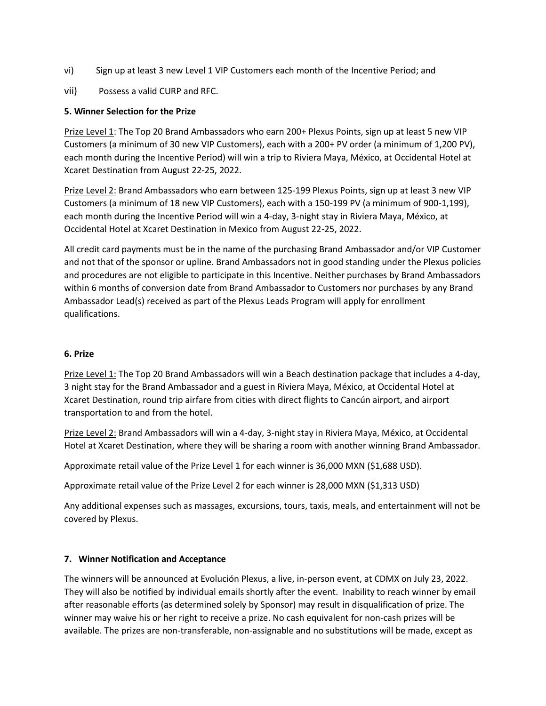- vi) Sign up at least 3 new Level 1 VIP Customers each month of the Incentive Period; and
- vii) Possess a valid CURP and RFC.

## **5. Winner Selection for the Prize**

Prize Level 1: The Top 20 Brand Ambassadors who earn 200+ Plexus Points, sign up at least 5 new VIP Customers (a minimum of 30 new VIP Customers), each with a 200+ PV order (a minimum of 1,200 PV), each month during the Incentive Period) will win a trip to Riviera Maya, México, at Occidental Hotel at Xcaret Destination from August 22-25, 2022.

Prize Level 2: Brand Ambassadors who earn between 125-199 Plexus Points, sign up at least 3 new VIP Customers (a minimum of 18 new VIP Customers), each with a 150-199 PV (a minimum of 900-1,199), each month during the Incentive Period will win a 4-day, 3-night stay in Riviera Maya, México, at Occidental Hotel at Xcaret Destination in Mexico from August 22-25, 2022.

All credit card payments must be in the name of the purchasing Brand Ambassador and/or VIP Customer and not that of the sponsor or upline. Brand Ambassadors not in good standing under the Plexus policies and procedures are not eligible to participate in this Incentive. Neither purchases by Brand Ambassadors within 6 months of conversion date from Brand Ambassador to Customers nor purchases by any Brand Ambassador Lead(s) received as part of the Plexus Leads Program will apply for enrollment qualifications.

#### **6. Prize**

Prize Level 1: The Top 20 Brand Ambassadors will win a Beach destination package that includes a 4-day, 3 night stay for the Brand Ambassador and a guest in Riviera Maya, México, at Occidental Hotel at Xcaret Destination, round trip airfare from cities with direct flights to Cancún airport, and airport transportation to and from the hotel.

Prize Level 2: Brand Ambassadors will win a 4-day, 3-night stay in Riviera Maya, México, at Occidental Hotel at Xcaret Destination, where they will be sharing a room with another winning Brand Ambassador.

Approximate retail value of the Prize Level 1 for each winner is 36,000 MXN (\$1,688 USD).

Approximate retail value of the Prize Level 2 for each winner is 28,000 MXN (\$1,313 USD)

Any additional expenses such as massages, excursions, tours, taxis, meals, and entertainment will not be covered by Plexus.

#### **7. Winner Notification and Acceptance**

The winners will be announced at Evolución Plexus, a live, in-person event, at CDMX on July 23, 2022. They will also be notified by individual emails shortly after the event. Inability to reach winner by email after reasonable efforts (as determined solely by Sponsor) may result in disqualification of prize. The winner may waive his or her right to receive a prize. No cash equivalent for non-cash prizes will be available. The prizes are non-transferable, non-assignable and no substitutions will be made, except as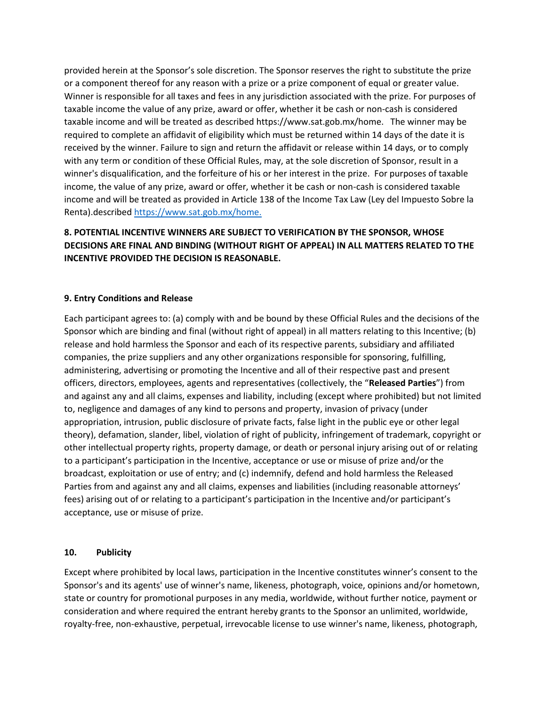provided herein at the Sponsor's sole discretion. The Sponsor reserves the right to substitute the prize or a component thereof for any reason with a prize or a prize component of equal or greater value. Winner is responsible for all taxes and fees in any jurisdiction associated with the prize. For purposes of taxable income the value of any prize, award or offer, whether it be cash or non-cash is considered taxable income and will be treated as described https://www.sat.gob.mx/home. The winner may be required to complete an affidavit of eligibility which must be returned within 14 days of the date it is received by the winner. Failure to sign and return the affidavit or release within 14 days, or to comply with any term or condition of these Official Rules, may, at the sole discretion of Sponsor, result in a winner's disqualification, and the forfeiture of his or her interest in the prize. For purposes of taxable income, the value of any prize, award or offer, whether it be cash or non-cash is considered taxable income and will be treated as provided in Article 138 of the Income Tax Law (Ley del Impuesto Sobre la Renta).described<https://www.sat.gob.mx/home.>

## **8. POTENTIAL INCENTIVE WINNERS ARE SUBJECT TO VERIFICATION BY THE SPONSOR, WHOSE DECISIONS ARE FINAL AND BINDING (WITHOUT RIGHT OF APPEAL) IN ALL MATTERS RELATED TO THE INCENTIVE PROVIDED THE DECISION IS REASONABLE.**

## **9. Entry Conditions and Release**

Each participant agrees to: (a) comply with and be bound by these Official Rules and the decisions of the Sponsor which are binding and final (without right of appeal) in all matters relating to this Incentive; (b) release and hold harmless the Sponsor and each of its respective parents, subsidiary and affiliated companies, the prize suppliers and any other organizations responsible for sponsoring, fulfilling, administering, advertising or promoting the Incentive and all of their respective past and present officers, directors, employees, agents and representatives (collectively, the "**Released Parties**") from and against any and all claims, expenses and liability, including (except where prohibited) but not limited to, negligence and damages of any kind to persons and property, invasion of privacy (under appropriation, intrusion, public disclosure of private facts, false light in the public eye or other legal theory), defamation, slander, libel, violation of right of publicity, infringement of trademark, copyright or other intellectual property rights, property damage, or death or personal injury arising out of or relating to a participant's participation in the Incentive, acceptance or use or misuse of prize and/or the broadcast, exploitation or use of entry; and (c) indemnify, defend and hold harmless the Released Parties from and against any and all claims, expenses and liabilities (including reasonable attorneys' fees) arising out of or relating to a participant's participation in the Incentive and/or participant's acceptance, use or misuse of prize.

#### **10. Publicity**

Except where prohibited by local laws, participation in the Incentive constitutes winner's consent to the Sponsor's and its agents' use of winner's name, likeness, photograph, voice, opinions and/or hometown, state or country for promotional purposes in any media, worldwide, without further notice, payment or consideration and where required the entrant hereby grants to the Sponsor an unlimited, worldwide, royalty-free, non-exhaustive, perpetual, irrevocable license to use winner's name, likeness, photograph,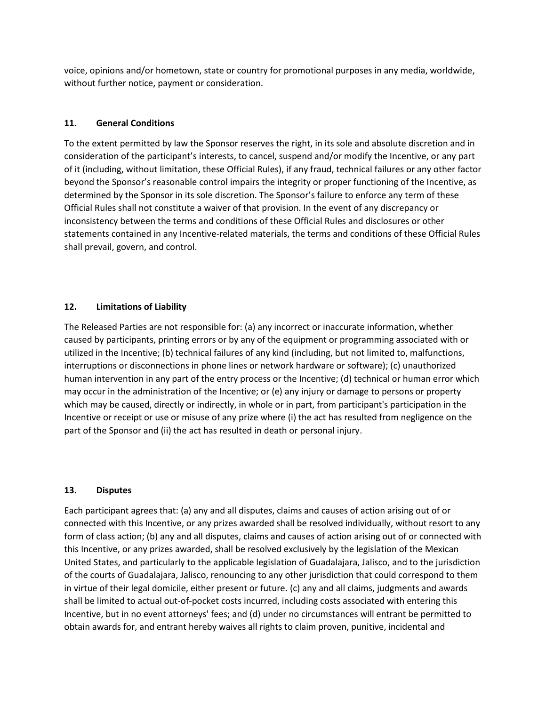voice, opinions and/or hometown, state or country for promotional purposes in any media, worldwide, without further notice, payment or consideration.

## **11. General Conditions**

To the extent permitted by law the Sponsor reserves the right, in its sole and absolute discretion and in consideration of the participant's interests, to cancel, suspend and/or modify the Incentive, or any part of it (including, without limitation, these Official Rules), if any fraud, technical failures or any other factor beyond the Sponsor's reasonable control impairs the integrity or proper functioning of the Incentive, as determined by the Sponsor in its sole discretion. The Sponsor's failure to enforce any term of these Official Rules shall not constitute a waiver of that provision. In the event of any discrepancy or inconsistency between the terms and conditions of these Official Rules and disclosures or other statements contained in any Incentive-related materials, the terms and conditions of these Official Rules shall prevail, govern, and control.

## **12. Limitations of Liability**

The Released Parties are not responsible for: (a) any incorrect or inaccurate information, whether caused by participants, printing errors or by any of the equipment or programming associated with or utilized in the Incentive; (b) technical failures of any kind (including, but not limited to, malfunctions, interruptions or disconnections in phone lines or network hardware or software); (c) unauthorized human intervention in any part of the entry process or the Incentive; (d) technical or human error which may occur in the administration of the Incentive; or (e) any injury or damage to persons or property which may be caused, directly or indirectly, in whole or in part, from participant's participation in the Incentive or receipt or use or misuse of any prize where (i) the act has resulted from negligence on the part of the Sponsor and (ii) the act has resulted in death or personal injury.

#### **13. Disputes**

Each participant agrees that: (a) any and all disputes, claims and causes of action arising out of or connected with this Incentive, or any prizes awarded shall be resolved individually, without resort to any form of class action; (b) any and all disputes, claims and causes of action arising out of or connected with this Incentive, or any prizes awarded, shall be resolved exclusively by the legislation of the Mexican United States, and particularly to the applicable legislation of Guadalajara, Jalisco, and to the jurisdiction of the courts of Guadalajara, Jalisco, renouncing to any other jurisdiction that could correspond to them in virtue of their legal domicile, either present or future. (c) any and all claims, judgments and awards shall be limited to actual out-of-pocket costs incurred, including costs associated with entering this Incentive, but in no event attorneys' fees; and (d) under no circumstances will entrant be permitted to obtain awards for, and entrant hereby waives all rights to claim proven, punitive, incidental and